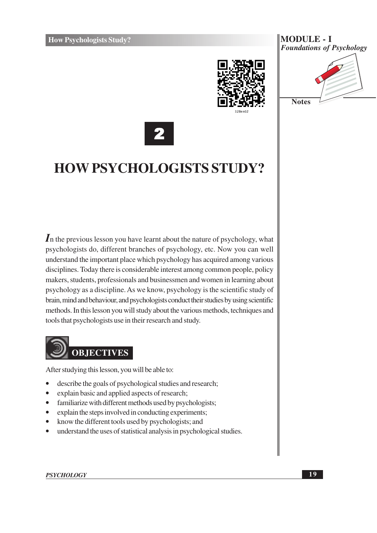





## **HOW PSYCHOLOGISTS STUDY?**

 $\mathbf I$  the previous lesson vou have learnt about the nature of psychology, what psychologists do, different branches of psychology, etc. Now you can well understand the important place which psychology has acquired among various disciplines. Today there is considerable interest among common people, policy makers, students, professionals and businessmen and women in learning about psychology as a discipline. As we know, psychology is the scientific study of brain, mind and behaviour, and psychologists conduct their studies by using scientific methods. In this lesson you will study about the various methods, techniques and tools that psychologists use in their research and study.



After studying this lesson, you will be able to:

- describe the goals of psychological studies and research;
- explain basic and applied aspects of research;  $\bullet$
- familiarize with different methods used by psychologists;  $\bullet$
- explain the steps involved in conducting experiments;
- know the different tools used by psychologists; and  $\bullet$
- understand the uses of statistical analysis in psychological studies.  $\bullet$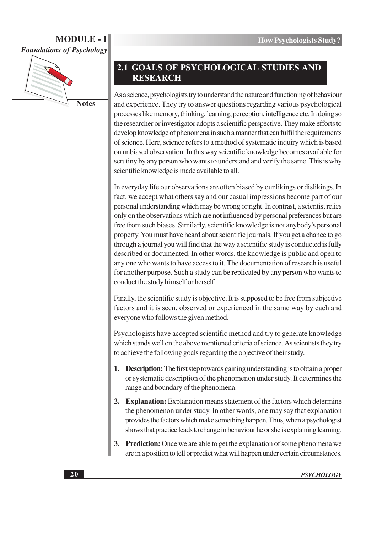

**Notes** 

### 2.1 GOALS OF PSYCHOLOGICAL STUDIES AND **RESEARCH**

As a science, psychologists try to understand the nature and functioning of behaviour and experience. They try to answer questions regarding various psychological processes like memory, thinking, learning, perception, intelligence etc. In doing so the researcher or investigator adopts a scientific perspective. They make efforts to develop knowledge of phenomena in such a manner that can fulfil the requirements of science. Here, science refers to a method of systematic inquiry which is based on unbiased observation. In this way scientific knowledge becomes available for scrutiny by any person who wants to understand and verify the same. This is why scientific knowledge is made available to all.

In everyday life our observations are often biased by our likings or dislikings. In fact, we accept what others say and our casual impressions become part of our personal understanding which may be wrong or right. In contrast, a scientist relies only on the observations which are not influenced by personal preferences but are free from such biases. Similarly, scientific knowledge is not anybody's personal property. You must have heard about scientific journals. If you get a chance to go through a journal you will find that the way a scientific study is conducted is fully described or documented. In other words, the knowledge is public and open to any one who wants to have access to it. The documentation of research is useful for another purpose. Such a study can be replicated by any person who wants to conduct the study himself or herself.

Finally, the scientific study is objective. It is supposed to be free from subjective factors and it is seen, observed or experienced in the same way by each and everyone who follows the given method.

Psychologists have accepted scientific method and try to generate knowledge which stands well on the above mentioned criteria of science. As scientists they try to achieve the following goals regarding the objective of their study.

- 1. Description: The first step towards gaining understanding is to obtain a proper or systematic description of the phenomenon under study. It determines the range and boundary of the phenomena.
- 2. Explanation: Explanation means statement of the factors which determine the phenomenon under study. In other words, one may say that explanation provides the factors which make something happen. Thus, when a psychologist shows that practice leads to change in behaviour he or she is explaining learning.
- 3. Prediction: Once we are able to get the explanation of some phenomena we are in a position to tell or predict what will happen under certain circumstances.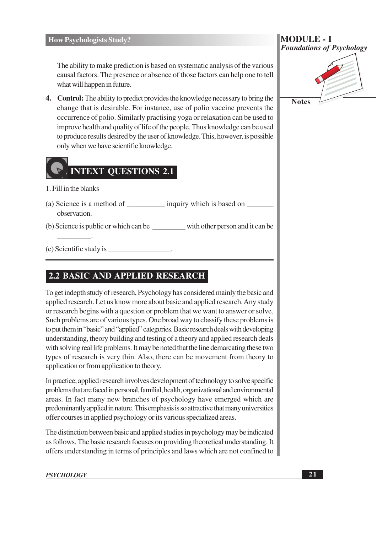The ability to make prediction is based on systematic analysis of the various causal factors. The presence or absence of those factors can help one to tell what will happen in future.

**4.** Control: The ability to predict provides the knowledge necessary to bring the change that is desirable. For instance, use of polio vaccine prevents the occurrence of polio. Similarly practising yoga or relaxation can be used to improve health and quality of life of the people. Thus knowledge can be used to produce results desired by the user of knowledge. This, however, is possible only when we have scientific knowledge.



- 1. Fill in the blanks
- observation.
- (b) Science is public or which can be with other person and it can be

(c) Scientific study is

### **2.2 BASIC AND APPLIED RESEARCH**

To get indepth study of research, Psychology has considered mainly the basic and applied research. Let us know more about basic and applied research. Any study or research begins with a question or problem that we want to answer or solve. Such problems are of various types. One broad way to classify these problems is to put them in "basic" and "applied" categories. Basic research deals with developing understanding, theory building and testing of a theory and applied research deals with solving real life problems. It may be noted that the line demarcating these two types of research is very thin. Also, there can be movement from theory to application or from application to theory.

In practice, applied research involves development of technology to solve specific problems that are faced in personal, familial, health, organizational and environmental areas. In fact many new branches of psychology have emerged which are predominantly applied in nature. This emphasis is so attractive that many universities offer courses in applied psychology or its various specialized areas.

The distinction between basic and applied studies in psychology may be indicated as follows. The basic research focuses on providing theoretical understanding. It offers understanding in terms of principles and laws which are not confined to



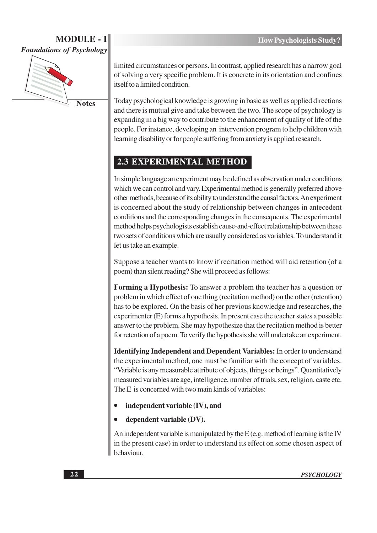

**Notes** 

limited circumstances or persons. In contrast, applied research has a narrow goal of solving a very specific problem. It is concrete in its orientation and confines itself to a limited condition.

Today psychological knowledge is growing in basic as well as applied directions and there is mutual give and take between the two. The scope of psychology is expanding in a big way to contribute to the enhancement of quality of life of the people. For instance, developing an intervention program to help children with learning disability or for people suffering from anxiety is applied research.

### 2.3 EXPERIMENTAL METHOD

In simple language an experiment may be defined as observation under conditions which we can control and vary. Experimental method is generally preferred above other methods, because of its ability to understand the causal factors. An experiment is concerned about the study of relationship between changes in antecedent conditions and the corresponding changes in the consequents. The experimental method helps psychologists establish cause-and-effect relationship between these two sets of conditions which are usually considered as variables. To understand it let us take an example.

Suppose a teacher wants to know if recitation method will aid retention (of a poem) than silent reading? She will proceed as follows:

**Forming a Hypothesis:** To answer a problem the teacher has a question or problem in which effect of one thing (recitation method) on the other (retention) has to be explored. On the basis of her previous knowledge and researches, the experimenter (E) forms a hypothesis. In present case the teacher states a possible answer to the problem. She may hypothesize that the recitation method is better for retention of a poem. To verify the hypothesis she will undertake an experiment.

**Identifying Independent and Dependent Variables:** In order to understand the experimental method, one must be familiar with the concept of variables. "Variable is any measurable attribute of objects, things or beings". Quantitatively measured variables are age, intelligence, number of trials, sex, religion, caste etc. The E is concerned with two main kinds of variables:

- independent variable (IV), and
- dependent variable (DV).

An independent variable is manipulated by the  $E(e.g., method of learning is the IV)$ in the present case) in order to understand its effect on some chosen aspect of behaviour.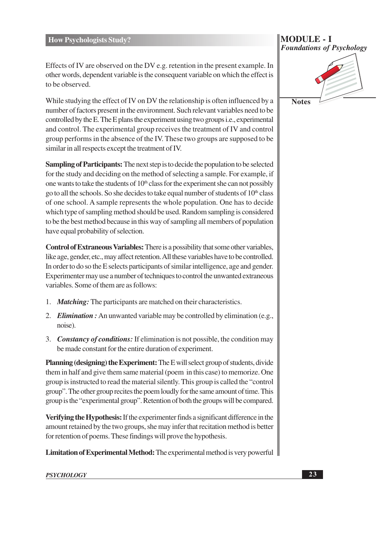Effects of IV are observed on the DV e.g. retention in the present example. In other words, dependent variable is the consequent variable on which the effect is to be observed.

While studying the effect of IV on DV the relationship is often influenced by a number of factors present in the environment. Such relevant variables need to be controlled by the E. The E plans the experiment using two groups *i.e.*, experimental and control. The experimental group receives the treatment of IV and control group performs in the absence of the IV. These two groups are supposed to be similar in all respects except the treatment of IV.

**Sampling of Participants:** The next step is to decide the population to be selected for the study and deciding on the method of selecting a sample. For example, if one wants to take the students of  $10<sup>th</sup>$  class for the experiment she can not possibly go to all the schools. So she decides to take equal number of students of 10<sup>th</sup> class of one school. A sample represents the whole population. One has to decide which type of sampling method should be used. Random sampling is considered to be the best method because in this way of sampling all members of population have equal probability of selection.

Control of Extraneous Variables: There is a possibility that some other variables, like age, gender, etc., may affect retention. All these variables have to be controlled. In order to do so the E selects participants of similar intelligence, age and gender. Experimenter may use a number of techniques to control the unwanted extraneous variables. Some of them are as follows:

- 1. *Matching*: The participants are matched on their characteristics.
- 2. *Elimination*: An unwanted variable may be controlled by elimination (e.g., noise).
- 3. Constancy of conditions: If elimination is not possible, the condition may be made constant for the entire duration of experiment.

Planning (designing) the Experiment: The E will select group of students, divide them in half and give them same material (poem in this case) to memorize. One group is instructed to read the material silently. This group is called the "control" group". The other group recites the poem loudly for the same amount of time. This group is the "experimental group". Retention of both the groups will be compared.

**Verifying the Hypothesis:** If the experimenter finds a significant difference in the amount retained by the two groups, she may infer that recitation method is better for retention of poems. These findings will prove the hypothesis.

**Limitation of Experimental Method:** The experimental method is very powerful

#### **PSYCHOLOGY**

#### **MODULE - I Foundations of Psychology**

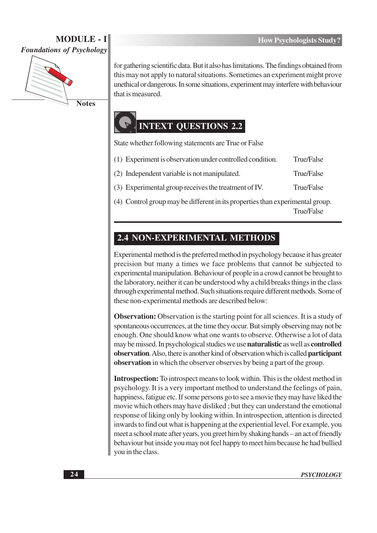

**Notes** 

for gathering scientific data. But it also has limitations. The findings obtained from this may not apply to natural situations. Sometimes an experiment might prove unethical or dangerous. In some situations, experiment may interfere with behaviour that is measured.

## **INTEXT QUESTIONS 2.2**

State whether following statements are True or False

- True/False (1) Experiment is observation under controlled condition.
- (2) Independent variable is not manipulated. True/False
- (3) Experimental group receives the treatment of IV. True/False

(4) Control group may be different in its properties than experimental group. **True/False** 

### 2.4 NON-EXPERIMENTAL METHODS

Experimental method is the preferred method in psychology because it has greater precision but many a times we face problems that cannot be subjected to experimental manipulation. Behaviour of people in a crowd cannot be brought to the laboratory, neither it can be understood why a child breaks things in the class through experimental method. Such situations require different methods. Some of these non-experimental methods are described below:

**Observation:** Observation is the starting point for all sciences. It is a study of spontaneous occurrences, at the time they occur. But simply observing may not be enough. One should know what one wants to observe. Otherwise a lot of data may be missed. In psychological studies we use **naturalistic** as well as **controlled** observation. Also, there is another kind of observation which is called **participant observation** in which the observer observes by being a part of the group.

**Introspection:** To introspect means to look within. This is the oldest method in psychology. It is a very important method to understand the feelings of pain, happiness, fatigue etc. If some persons go to see a movie they may have liked the movie which others may have disliked; but they can understand the emotional response of liking only by looking within. In introspection, attention is directed inwards to find out what is happening at the experiential level. For example, you meet a school mate after years, you greet him by shaking hands – an act of friendly behaviour but inside you may not feel happy to meet him because he had bullied you in the class.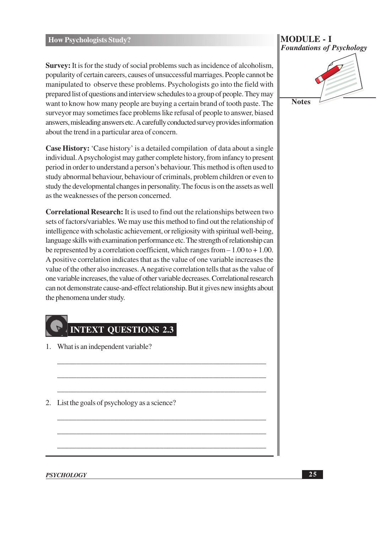Survey: It is for the study of social problems such as incidence of alcoholism, popularity of certain careers, causes of unsuccessful marriages. People cannot be manipulated to observe these problems. Psychologists go into the field with prepared list of questions and interview schedules to a group of people. They may want to know how many people are buying a certain brand of tooth paste. The surveyor may sometimes face problems like refusal of people to answer, biased answers, misleading answers etc. A carefully conducted survey provides information about the trend in a particular area of concern.

Case History: 'Case history' is a detailed compilation of data about a single individual. A psychologist may gather complete history, from infancy to present period in order to understand a person's behaviour. This method is often used to study abnormal behaviour, behaviour of criminals, problem children or even to study the developmental changes in personality. The focus is on the assets as well as the weaknesses of the person concerned.

**Correlational Research:** It is used to find out the relationships between two sets of factors/variables. We may use this method to find out the relationship of intelligence with scholastic achievement, or religiosity with spiritual well-being, language skills with examination performance etc. The strength of relationship can be represented by a correlation coefficient, which ranges from  $-1.00$  to  $+1.00$ . A positive correlation indicates that as the value of one variable increases the value of the other also increases. A negative correlation tells that as the value of one variable increases, the value of other variable decreases. Correlational research can not demonstrate cause-and-effect relationship. But it gives new insights about the phenomena under study.



- 1. What is an independent variable?
- 2. List the goals of psychology as a science?

**MODULE - I Foundations of Psychology** 



**PSYCHOLOGY**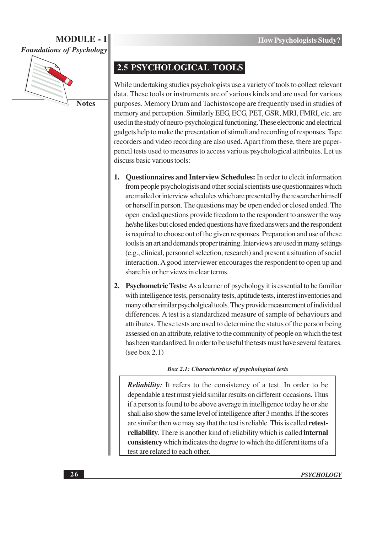

## 2.5 PSYCHOLOGICAL TOOLS

While undertaking studies psychologists use a variety of tools to collect relevant data. These tools or instruments are of various kinds and are used for various purposes. Memory Drum and Tachistoscope are frequently used in studies of memory and perception. Similarly EEG, ECG, PET, GSR, MRI, FMRI, etc. are used in the study of neuro-psychological functioning. These electronic and electrical gadgets help to make the presentation of stimuli and recording of responses. Tape recorders and video recording are also used. Apart from these, there are paperpencil tests used to measures to access various psychological attributes. Let us discuss basic various tools:

- **Questionnaires and Interview Schedules:** In order to elect information  $1.$ from people psychologists and other social scientists use questionnaires which are mailed or interview schedules which are presented by the researcher himself or herself in person. The questions may be open ended or closed ended. The open ended questions provide freedom to the respondent to answer the way he/she likes but closed ended questions have fixed answers and the respondent is required to choose out of the given responses. Preparation and use of these tools is an art and demands proper training. Interviews are used in many settings (e.g., clinical, personnel selection, research) and present a situation of social interaction. A good interviewer encourages the respondent to open up and share his or her views in clear terms.
- 2. Psychometric Tests: As a learner of psychology it is essential to be familiar with intelligence tests, personality tests, aptitude tests, interest inventories and many other similar psycholgical tools. They provide measurement of individual differences. A test is a standardized measure of sample of behaviours and attributes. These tests are used to determine the status of the person being assessed on an attribute, relative to the community of people on which the test has been standardized. In order to be useful the tests must have several features.  $(see box 2.1)$

#### Box 2.1: Characteristics of psychological tests

**Reliability:** It refers to the consistency of a test. In order to be dependable a test must yield similar results on different occasions. Thus if a person is found to be above average in intelligence today he or she shall also show the same level of intelligence after 3 months. If the scores are similar then we may say that the test is reliable. This is called retestreliability. There is another kind of reliability which is called internal consistency which indicates the degree to which the different items of a test are related to each other.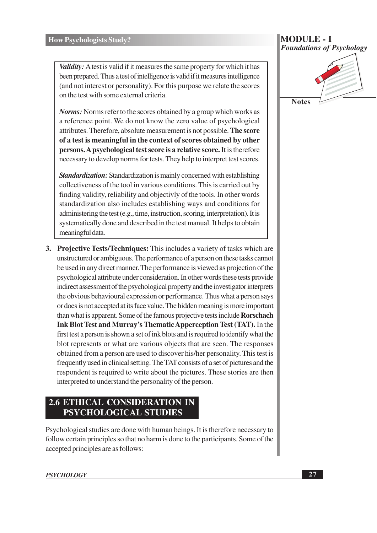Validity: A test is valid if it measures the same property for which it has been prepared. Thus a test of intelligence is valid if it measures intelligence (and not interest or personality). For this purpose we relate the scores on the test with some external criteria.

*Norms:* Norms refer to the scores obtained by a group which works as a reference point. We do not know the zero value of psychological attributes. Therefore, absolute measurement is not possible. The score of a test is meaningful in the context of scores obtained by other persons. A psychological test score is a relative score. It is therefore necessary to develop norms for tests. They help to interpret test scores.

**Standardization:** Standardization is mainly concerned with establishing collectiveness of the tool in various conditions. This is carried out by finding validity, reliability and objectivly of the tools. In other words standardization also includes establishing ways and conditions for administering the test (e.g., time, instruction, scoring, interpretation). It is systematically done and described in the test manual. It helps to obtain meaningful data.

3. Projective Tests/Techniques: This includes a variety of tasks which are unstructured or ambiguous. The performance of a person on these tasks cannot be used in any direct manner. The performance is viewed as projection of the psychological attribute under consideration. In other words these tests provide indirect assessment of the psychological property and the investigator interprets the obvious behavioural expression or performance. Thus what a person says or does is not accepted at its face value. The hidden meaning is more important than what is apparent. Some of the famous projective tests include **Rorschach Ink Blot Test and Murray's Thematic Apperception Test (TAT).** In the first test a person is shown a set of ink blots and is required to identify what the blot represents or what are various objects that are seen. The responses obtained from a person are used to discover his/her personality. This test is frequently used in clinical setting. The TAT consists of a set of pictures and the respondent is required to write about the pictures. These stories are then interpreted to understand the personality of the person.

#### **2.6 ETHICAL CONSIDERATION IN** PSYCHOLOGICAL STUDIES

Psychological studies are done with human beings. It is therefore necessary to follow certain principles so that no harm is done to the participants. Some of the accepted principles are as follows:

#### **PSYCHOLOGY**

#### **MODULE - I Foundations of Psychology**

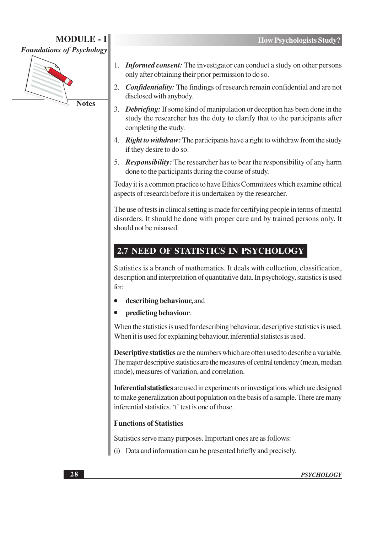

2. *Confidentiality:* The findings of research remain confidential and are not disclosed with anybody.

3. **Debriefing:** If some kind of manipulation or deception has been done in the study the researcher has the duty to clarify that to the participants after completing the study.

1. *Informed consent:* The investigator can conduct a study on other persons

only after obtaining their prior permission to do so.

- 4. Right to withdraw: The participants have a right to withdraw from the study if they desire to do so.
- 5. Responsibility: The researcher has to bear the responsibility of any harm done to the participants during the course of study.

Today it is a common practice to have Ethics Committees which examine ethical aspects of research before it is undertaken by the researcher.

The use of tests in clinical setting is made for certifying people in terms of mental disorders. It should be done with proper care and by trained persons only. It should not be misused

## 2.7 NEED OF STATISTICS IN PSYCHOLOGY

Statistics is a branch of mathematics. It deals with collection, classification, description and interpretation of quantitative data. In psychology, statistics is used for:

- describing behaviour, and
- predicting behaviour.

When the statistics is used for describing behaviour, descriptive statistics is used. When it is used for explaining behaviour, inferential statistics is used.

Descriptive statistics are the numbers which are often used to describe a variable. The major descriptive statistics are the measures of central tendency (mean, median mode), measures of variation, and correlation.

Inferential statistics are used in experiments or investigations which are designed to make generalization about population on the basis of a sample. There are many inferential statistics. 't' test is one of those.

#### **Functions of Statistics**

Statistics serve many purposes. Important ones are as follows:

(i) Data and information can be presented briefly and precisely.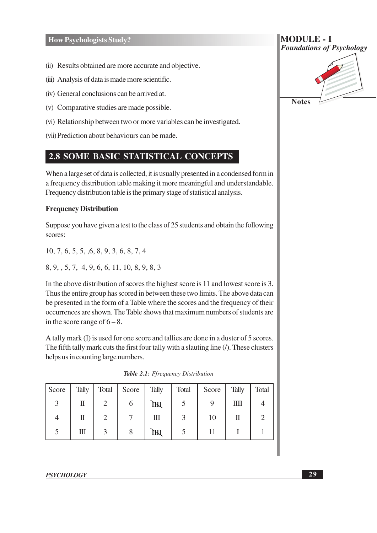- (ii) Results obtained are more accurate and objective.
- (iii) Analysis of data is made more scientific.
- (iv) General conclusions can be arrived at.
- (v) Comparative studies are made possible.
- (vi) Relationship between two or more variables can be investigated.
- (vii) Prediction about behaviours can be made.

### **2.8 SOME BASIC STATISTICAL CONCEPTS**

When a large set of data is collected, it is usually presented in a condensed form in a frequency distribution table making it more meaningful and understandable. Frequency distribution table is the primary stage of statistical analysis.

#### **Frequency Distribution**

Suppose you have given a test to the class of 25 students and obtain the following scores:

 $10, 7, 6, 5, 5, 6, 8, 9, 3, 6, 8, 7, 4$ 

8, 9, 5, 7, 4, 9, 6, 6, 11, 10, 8, 9, 8, 3

In the above distribution of scores the highest score is 11 and lowest score is 3. Thus the entire group has scored in between these two limits. The above data can be presented in the form of a Table where the scores and the frequency of their occurrences are shown. The Table shows that maximum numbers of students are in the score range of  $6 - 8$ .

A tally mark (I) is used for one score and tallies are done in a duster of 5 scores. The fifth tally mark cuts the first four tally with a slauting line (/). These clusters helps us in counting large numbers.

|  |  |  | Table 2.1: Ffrequency Distribution |
|--|--|--|------------------------------------|
|--|--|--|------------------------------------|

| Score |   | Tally   Total   Score   Tally |    | Total | Score | Tally | Total |
|-------|---|-------------------------------|----|-------|-------|-------|-------|
|       | П | O                             | JЖ |       |       | Ш     |       |
|       | Π |                               | Ш  |       | 10    |       |       |
|       | Ш |                               | ÌЖ |       |       |       |       |



**MODULE - I** 

**PSYCHOLOGY**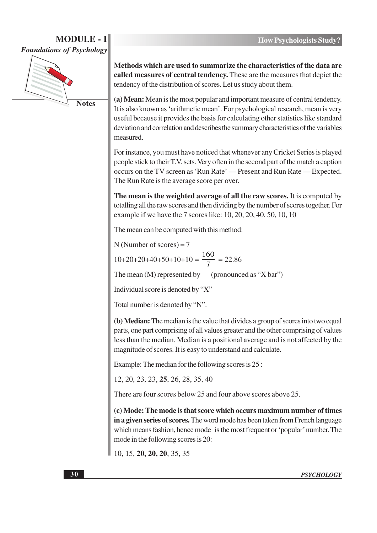

**Notes** 

Methods which are used to summarize the characteristics of the data are called measures of central tendency. These are the measures that depict the tendency of the distribution of scores. Let us study about them.

(a) Mean: Mean is the most popular and important measure of central tendency. It is also known as 'arithmetic mean'. For psychological research, mean is very useful because it provides the basis for calculating other statistics like standard deviation and correlation and describes the summary characteristics of the variables measured.

For instance, you must have noticed that whenever any Cricket Series is played people stick to their T.V. sets. Very often in the second part of the match a caption occurs on the TV screen as 'Run Rate' — Present and Run Rate — Expected. The Run Rate is the average score per over.

The mean is the weighted average of all the raw scores. It is computed by totalling all the raw scores and then dividing by the number of scores together. For example if we have the 7 scores like: 10, 20, 20, 40, 50, 10, 10

The mean can be computed with this method:

N (Number of scores) =  $7$ 

 $10+20+20+40+50+10+10 = \frac{160}{7} = 22.86$ 

The mean  $(M)$  represented by (pronounced as "X bar")

Individual score is denoted by "X"

Total number is denoted by "N".

(b) Median: The median is the value that divides a group of scores into two equal parts, one part comprising of all values greater and the other comprising of values less than the median. Median is a positional average and is not affected by the magnitude of scores. It is easy to understand and calculate.

Example: The median for the following scores is 25:

12, 20, 23, 23, 25, 26, 28, 35, 40

There are four scores below 25 and four above scores above 25.

(c) Mode: The mode is that score which occurs maximum number of times in a given series of scores. The word mode has been taken from French language which means fashion, hence mode is the most frequent or 'popular' number. The mode in the following scores is 20:

10, 15, 20, 20, 20, 35, 35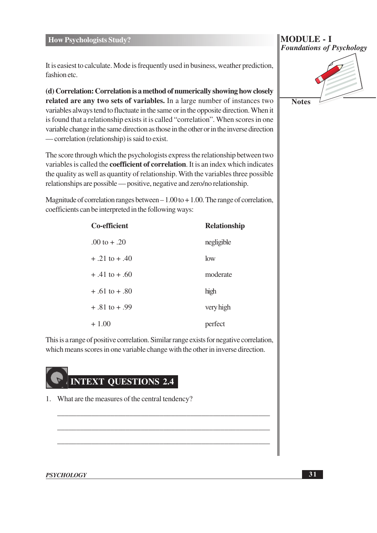It is easiest to calculate. Mode is frequently used in business, weather prediction, fashion etc.

(d) Correlation: Correlation is a method of numerically showing how closely related are any two sets of variables. In a large number of instances two variables always tend to fluctuate in the same or in the opposite direction. When it is found that a relationship exists it is called "correlation". When scores in one variable change in the same direction as those in the other or in the inverse direction — correlation (relationship) is said to exist.

The score through which the psychologists express the relationship between two variables is called the **coefficient of correlation**. It is an index which indicates the quality as well as quantity of relationship. With the variables three possible relationships are possible — positive, negative and zero/no relationship.

Magnitude of correlation ranges between  $-1.00$  to  $+1.00$ . The range of correlation, coefficients can be interpreted in the following ways:

| <b>Co-efficient</b> | <b>Relationship</b> |
|---------------------|---------------------|
| .00 to $+ .20$      | negligible          |
| $+ .21$ to $+ .40$  | low                 |
| $+41$ to $+60$      | moderate            |
| $+ .61$ to $+ .80$  | high                |
| $+ .81$ to $+ .99$  | very high           |
| $+1.00$             | perfect             |

This is a range of positive correlation. Similar range exists for negative correlation, which means scores in one variable change with the other in inverse direction.



1. What are the measures of the central tendency?

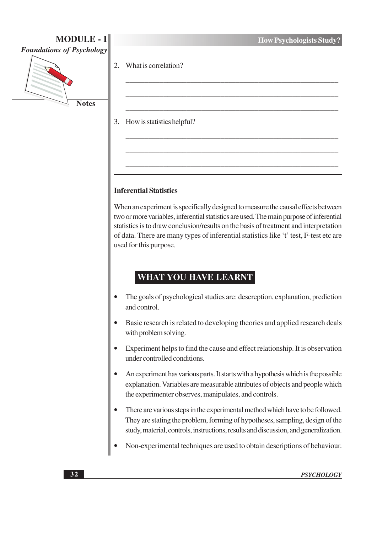

2. What is correlation?

3. How is statistics helpful?

#### **Inferential Statistics**

When an experiment is specifically designed to measure the causal effects between two or more variables, inferential statistics are used. The main purpose of inferential statistics is to draw conclusion/results on the basis of treatment and interpretation of data. There are many types of inferential statistics like 't' test, F-test etc are used for this purpose.

## **WHAT YOU HAVE LEARNT**

- The goals of psychological studies are: descreption, explanation, prediction  $\bullet$ and control.
- Basic research is related to developing theories and applied research deals with problem solving.
- Experiment helps to find the cause and effect relationship. It is observation under controlled conditions.
- An experiment has various parts. It starts with a hypothesis which is the possible explanation. Variables are measurable attributes of objects and people which the experimenter observes, manipulates, and controls.
- There are various steps in the experimental method which have to be followed.  $\bullet$ They are stating the problem, forming of hypotheses, sampling, design of the study, material, controls, instructions, results and discussion, and generalization.
- Non-experimental techniques are used to obtain descriptions of behaviour.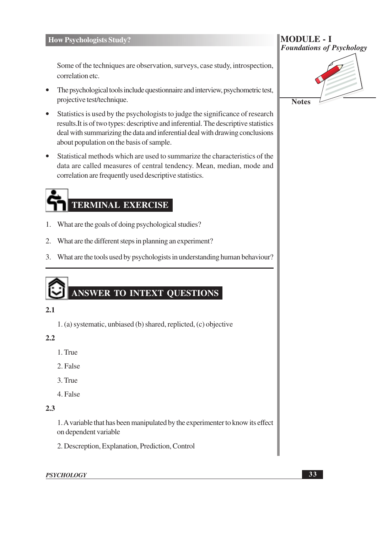#### **How Psychologists Study?**

Some of the techniques are observation, surveys, case study, introspection, correlation etc.

- The psychological tools include questionnaire and interview, psychometric test, projective test/technique.
- $\bullet$ Statistics is used by the psychologists to judge the significance of research results. It is of two types: descriptive and inferential. The descriptive statistics deal with summarizing the data and inferential deal with drawing conclusions about population on the basis of sample.
- Statistical methods which are used to summarize the characteristics of the data are called measures of central tendency. Mean, median, mode and correlation are frequently used descriptive statistics.

# **TERMINAL EXERCISE**

- 1. What are the goals of doing psychological studies?
- 2. What are the different steps in planning an experiment?
- 3. What are the tools used by psychologists in understanding human behaviour?

## **ANSWER TO INTEXT QUESTIONS**

#### $2.1$

1. (a) systematic, unbiased (b) shared, replicted, (c) objective

#### $2.2$

- 1. True
- 2. False
- 3. True
- 4. False

#### $2.3$

1. A variable that has been manipulated by the experimenter to know its effect on dependent variable

2. Descreption, Explanation, Prediction, Control

#### **PSYCHOLOGY**